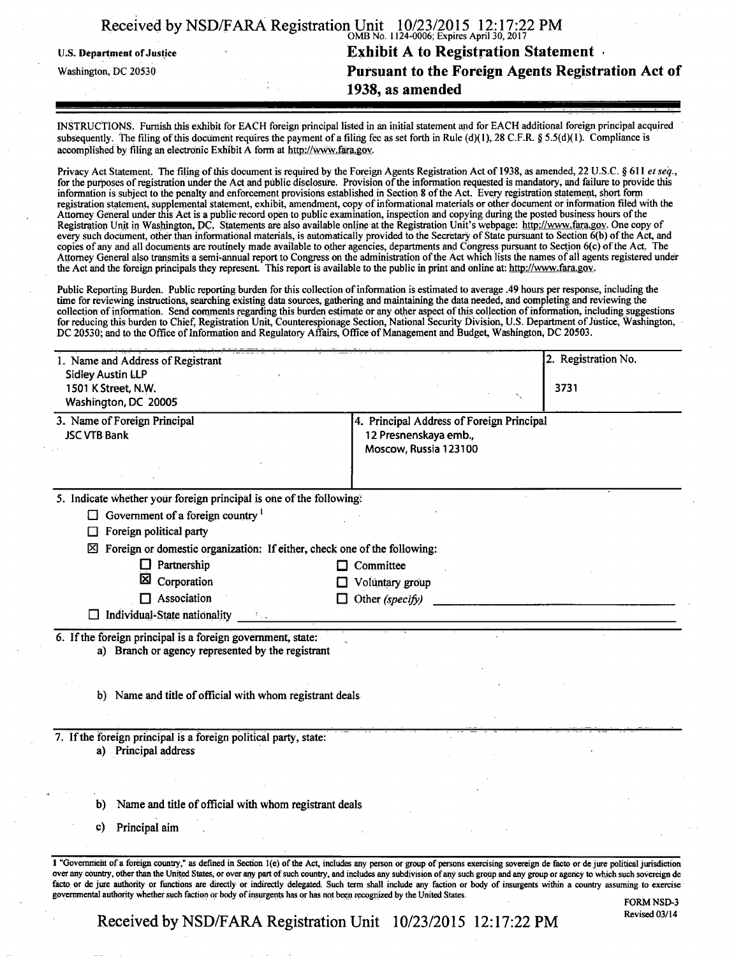|                                   | Received by NSD/FARA Registration Unit 10/23/2015 12:17:22 PM |
|-----------------------------------|---------------------------------------------------------------|
| <b>U.S. Department of Justice</b> | <b>Exhibit A to Registration Statement</b>                    |
| Washington, DC 20530              | Pursuant to the Foreign Agents Registration Act of            |
|                                   | 1938, as amended                                              |

INSTRUCTIONS. Furnish this exhibit for EACH foreign principal listed in an initial statement and for EACH additional foreign principal acquired subsequently. The filing of this document requires the payment of a filing fee as set forth in Rule (d)(1), 28 C.F.R. § 5.5(d)(1). Compliance is accomplished by filing an electronic Exhibit A form at http://www.fara.gov.

Privacy Act Statement. The filing of this document is required by the Foreign Agents Registration Act of 1938, as amended, 22 U.S.C. § 611 et seq., for the purposes of registration under the Act ahd public disclosure. Provision of the information requested is mandatory, and failure to provide this information is subject to the penalty and enforcement provisions established in Section 8 of the Act. Every registration statement, short form registration statement, supplemental statement, exhibit, amendment, copy of informational materials or other document or information filed with the Attorney General under this Act is a public record open to public examination, inspection and copying during the posted business hours of the Registration Unit in Washington, DC. Statements are also available online at the Registration Unit's webpage: http://www.fara.gov. One copy of every such document, other than informational materials, is automatically provided to the Secretary of State pursuant to Section  $\vec{6}$ (b) of the Act, and copies of any and all documents are routinely made available to other agencies, departments and Congress pursuant to Section 6(c) of the Act, The Attorney General also transmits a semi-annual report to Congress on the administration of the Act which lists the names of all agents registered under the Act and the foreign principals they represent. This report is available to the public in print and online at: http://www.fara.gov.

Public Reporting Burden. Public reporting burden for this collection of information is estimated to average .49 hours per response, including the time for reviewing instructions, searching existing data sources, gathering and maintaining the data needed, and completing and reviewing the collection of information. Send comments regarding this burden estimate or any other aspect of this collection of information, including suggestions for reducing this burden to Chief, Registration Unit, Counterespionage Section, National Security Division, U.S. Department of Justice, Washington, DC 20530; and to the Office of Information and Regulatory Affairs, Office of Management and Budget, Washington, DC 20503.

| 1. Name and Address of Registrant                                             | 2. Registration No.                            |
|-------------------------------------------------------------------------------|------------------------------------------------|
| <b>Sidley Austin LLP</b>                                                      |                                                |
| 1501 K Street, N.W.<br>Washington, DC 20005                                   | 3731                                           |
|                                                                               |                                                |
| 3. Name of Foreign Principal<br><b>JSC VTB Bank</b>                           | 4. Principal Address of Foreign Principal      |
|                                                                               | 12 Presnenskaya emb.,<br>Moscow, Russia 123100 |
|                                                                               |                                                |
|                                                                               |                                                |
| 5. Indicate whether your foreign principal is one of the following:           |                                                |
| $\Box$ Government of a foreign country $\Gamma$                               |                                                |
| Foreign political party<br>ப                                                  |                                                |
| Foreign or domestic organization: If either, check one of the following:<br>⊠ |                                                |
| $\Box$ Partnership                                                            | $\Box$ Committee                               |
| ×<br>Corporation                                                              | $\Box$ Voluntary group                         |
| $\Box$ Association                                                            | $\Box$ Other (specify)                         |
| $\Box$ Individual-State nationality                                           |                                                |
| 6. If the foreign principal is a foreign government, state:                   |                                                |
| a) Branch or agency represented by the registrant                             |                                                |
|                                                                               |                                                |
|                                                                               |                                                |
| b) Name and title of official with whom registrant deals                      |                                                |
|                                                                               |                                                |
| 7. If the foreign principal is a foreign political party, state:              |                                                |
| a) Principal address                                                          |                                                |
|                                                                               |                                                |
|                                                                               |                                                |
| Name and title of official with whom registrant deals<br>b)                   |                                                |
|                                                                               |                                                |
|                                                                               |                                                |
| Principal aim<br>$\mathbf{c}$                                                 |                                                |

**Received by NSD/FARA Registration Unit 10/23/2015 12:17:22 PM**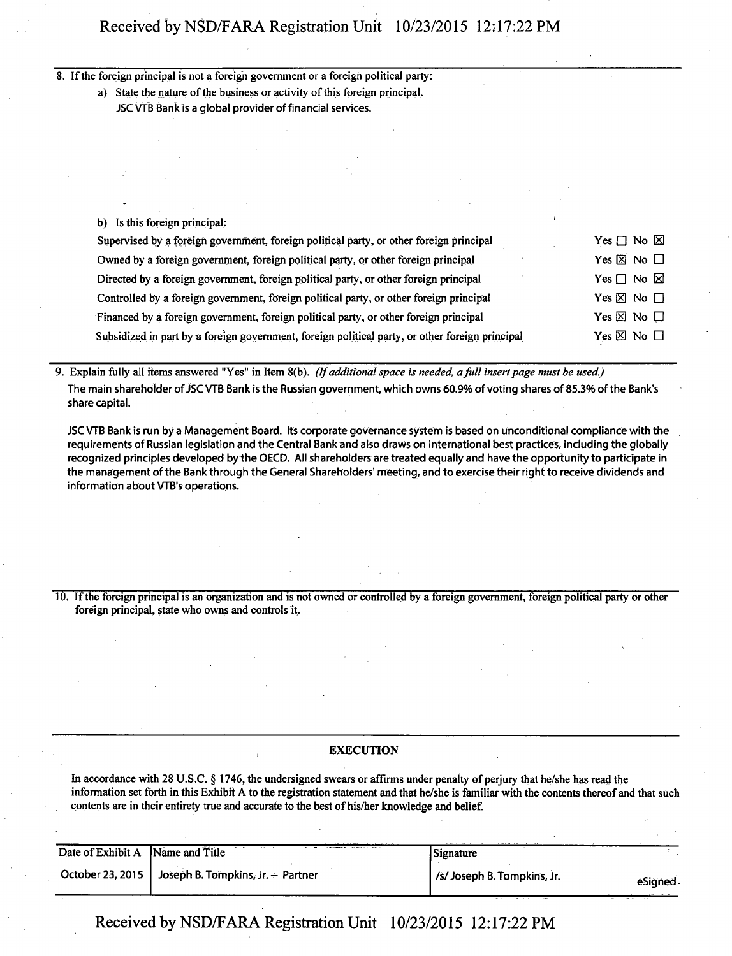8. If the foreign principal is not a foreign government or a foreign political party:

a) State the nature of the business or activity of this foreign principal.

JSC VTB Bank is a global provider of financial services.

| b) Is this foreign principal:                                                                   |                              |
|-------------------------------------------------------------------------------------------------|------------------------------|
| Supervised by a foreign government, foreign political party, or other foreign principal         | Yes $\Box$ No $\boxtimes$    |
| Owned by a foreign government, foreign political party, or other foreign principal              | Yes $\boxtimes$ No $\Box$    |
| Directed by a foreign government, foreign political party, or other foreign principal           | Yes $\Box$ No $\boxtimes$    |
| Controlled by a foreign government, foreign political party, or other foreign principal         | Yes $\boxtimes$ No $\square$ |
| Financed by a foreign government, foreign political party, or other foreign principal           | Yes $\boxtimes$ No $\square$ |
| Subsidized in part by a foreign government, foreign political party, or other foreign principal | Yes $\boxtimes$ No $\Box$    |

*9. Explain fully all items answered "Yes" in Item 8(b). (If additional space is needed a full insert page must be used.)* 

The main shareholder Of JSC VTB Bank is the Russian government, which owns 60.9% of voting shares of 85.3% of the Bank's share capital.

JSC VTB Bank is run by a Management Board. Its corporate governance system is based on unconditional compliance with the requirements of Russian legislation and the Central Bank and also draws on international best practices, including the globally recognized principles developed by the OECD. All shareholders are treated equally and have the opportunity to participate in the management of the Bank through the General Shareholders' meeting, and to exercise their right to receive dividends and information about VTB's operations.

10. If the foreign principal is an organization and is not owned or controlled by a foreign government, foreign political party or other foreign principal, state who owns and controls it.

### **EXECUTION**

In accordance with 28 U.S.C. § 1746, the undersigned swears or affirms under penalty of perjury that he/she has read the information set forth in this Exhibit A to the registration statement and that he/she is familiar with the contents thereof and that such contents are in their entirety true and accurate to the best of his/her knowledge and belief.

| Date of Exhibit A Name and Title |                                                      | Signature                   |         |
|----------------------------------|------------------------------------------------------|-----------------------------|---------|
|                                  | October 23, 2015   Joseph B. Tompkins, Jr. - Partner | /s/ Joseph B. Tompkins, Jr. | eSianed |

Received by NSD/FARA Registration Unit 10/23/2015 12:17:22 PM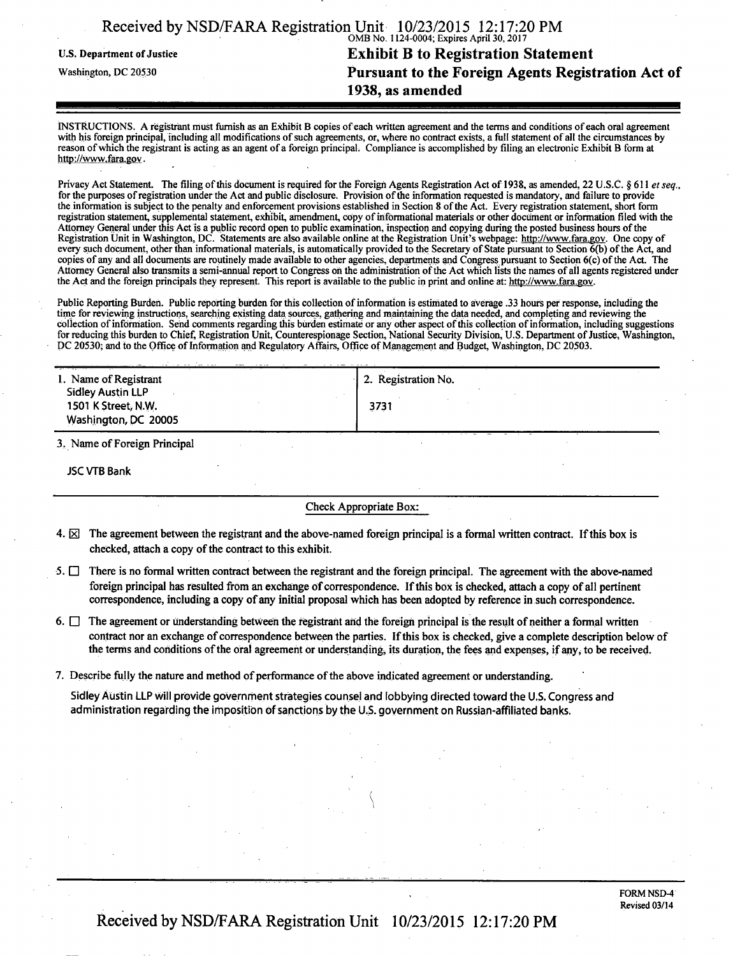| Received by NSD/FARA Registration Unit 10/23/2015 12:17:20 PM | OMB No. 1124-0004; Expires April 30, 2017          |
|---------------------------------------------------------------|----------------------------------------------------|
| <b>U.S. Department of Justice</b>                             | <b>Exhibit B to Registration Statement</b>         |
| Washington, DC 20530                                          | Pursuant to the Foreign Agents Registration Act of |
|                                                               | 1938, as amended                                   |

INSTRUCTIONS. A registrant must furnish as an Exhibit B copies of each written agreement and the terms and conditions of each oral agreement with his foreign principal, including all modifications of such agreements, or, where no contract exists, a full statement of all the circumstances by reason of which the registrant is acting as an agent of a foreign principal. Compliance is accomplished by filing an electronic Exhibit B form at http://www.fara.gov.

Privacy Act Statement. The filing of this document is required for the Foreign Agents Registration Act of 1938, as amended, 22 U.S.C. § 611 et seq., for the purposes of registration under the Act and public disclosure. Provision of the information requested is mandatory, and failure to provide the information is subject to the penalty and enforcement provisions established in Section 8 of the Act. Every registration statement, short form registration statement, supplemental statement, exhibit, amendment, copy of informational materials or other document or information filed with the Attorney General under this Act is a public record open to public examination, inspection and copying during the posted business hours of the Registration Unit in Washington, DC. Statements are also available online at the Registration Unit's webpage: http://www.fara.gov. One copy of every such document, other than informational materials, is automatically provided to the Secretary of State pursuant to Section 6(b) of the Act, and copies of any and all documents are routinely made available to other agencies, departments and Congress pursuant to Section 6(c) of the Act. The Attorney General also transmits a semi-annual report to Congress oh the administration of the Act which lists the names of all agents registered under the Act and the foreign principals they represent. This report is available to the public in print and online at: http://www.fara.gov.

Public Reporting Burden. Public reporting burden for this collection of information is estimated to average .33 hours per response, including the time for reviewing instructions, searching existing data sources, gathering and maintaining the data needed, and completing and reviewing the collection of information. Send comments regarding this burden estimate or any other aspect of this collection of information, including suggestions for reducing this burden to Chief, Registration Unit, Counterespionage Section, National Security Division, U.S. Department of Justice, Washington, DC 20530; and to the Office of Information and Regulatory Affairs, Office of Management and Budget, Washington, DC 20503.

| 1. Name of Registrant                             | 2. Registration No. |
|---------------------------------------------------|---------------------|
| <b>Sidley Austin LLP</b>                          |                     |
| 1501 K Street, N.W.                               | 3731                |
| Washington, DC 20005                              |                     |
| $\sim$ $\sim$ $\sim$<br>$\sim$ $\sim$ $\sim$<br>. |                     |

3, Name of Foreign Principal

JSC VTB Bank

#### Check Appropriate Box:

- 4.  $\boxtimes$  The agreement between the registrant and the above-named foreign principal is a formal written contract. If this box is checked, attach a copy of the contract to this exhibit.
- 5.  $\Box$  There is no formal written contract between the registrant and the foreign principal. The agreement with the above-named foreign principal has resulted from an exchange of correspondence. If this box is checked, attach a copy of all pertinent correspondence, including a copy of any initial proposal which has been adopted by reference in such correspondence.
- 6.  $\Box$  The agreement or understanding between the registrant and the foreign principal is the result of neither a formal written contract nor an exchange of correspondence between the parties. If this box is checked, give a complete description below of the terms and conditions of the oral agreement or understanding, its duration, the fees and expenses, if any, to be received.

*\* 

7. Describe fully the nature and method of performance of the above indicated agreement or understanding.

Sidley Austin LLP will provide government strategies counsel and lobbying directed toward the U.S. Congress and administration regarding the imposition of sanctions by the U.S. government on Russian-affiliated banks.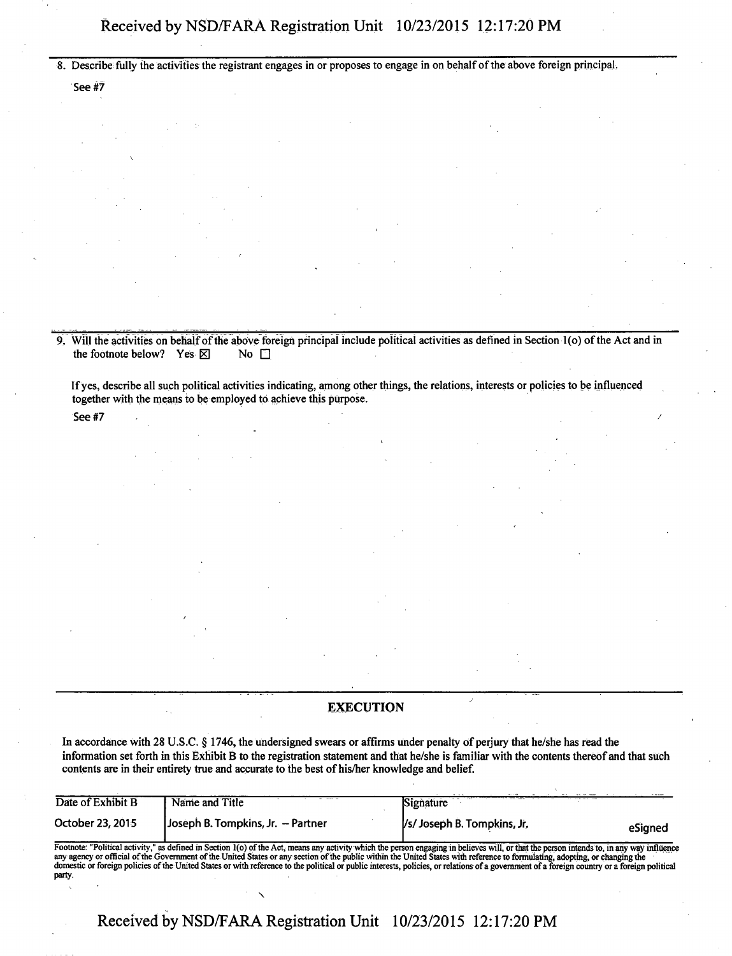8. Describe fully the activities the registrant engages in or proposes to engage in on behalf of the above foreign principal .

See #7

9. Will the activities on behalf of the above foreign principal include political activities as defined in Section 1(o) of the Act and in the footnote below? Yes  $\boxtimes$  No  $\Box$ the footnote below? Yes  $\boxtimes$ 

If yes, describe all such political activities indicating, among other things, the relations, interests or policies to be influenced together with the means to be employed to achieve this purpose.

See #7  $\hspace{0.5cm}$ 

### **EXECUTION**

In accordance with 28 U.S.C. § 1746, the undersigned swears or affirms under penalty of perjury that he/she has read the information set forth in this Exhibit B to the registration statement and that he/she is familiar with the contents thereof and that such contents are in their entirety true and accurate to the best of his/her knowledge and belief.

| Date of Exhibit B | Name and Title<br>the course of   | The state of the state of<br>Signature |         |
|-------------------|-----------------------------------|----------------------------------------|---------|
| October 23, 2015  | Joseph B. Tompkins, Jr. – Partner | /s/ Joseph B. Tompkins, Jr.            | eSianed |

Footnote: "Political activity," as defined in Section l(o) of the Act, means any activity which the person engaging in believes will, or that the person intends to, in any way influence any agency or official of the Government of the United States or any section of the public within the United States with reference to formulating, adopting, or changing the domestic or foreign policies of the United States or with reference to the political or public interests, policies, or relations of a government of a foreign country or a foreign political party.

**Received by NSD/FARA Registration Unit 10/23/2015 12:17:20 PM**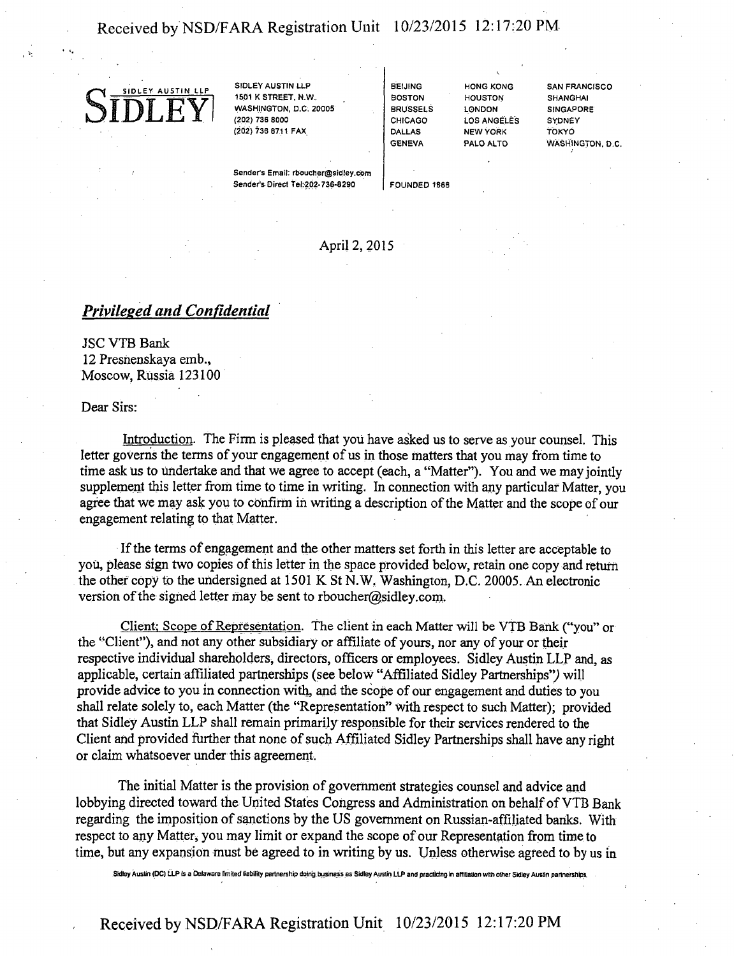## Received by NSD/FARA Registration Unit 10/23/2015 12:17:20 PM



1501 K STREET, N.W. WASHINGTON, D.C 20005 (202) 736 8000 (202) 736 8711 FAX

BEIJING BOSTON HOUSTON BRUSSELS CHICAGO DALLAS GENEVA

LONDON LOS ANGELES NEW YORK<br>PALO ALTO

HONG KONG SAN FRANCISCO SHANGHAI **SINGAPORE** SYDNEY TOKYO WASHINGTON, D.C.

Sender's Email: rboucher@sidley.com Sender's Direct Tel:202-736-8290 FOUNDED 1866

## April 2, 2015

## *Privileged and Confidential*

JSC VTB Bank 12 Presnenskaya emb., Moscow, Russia 123100

#### Dear Sirs:

Introduction. The Firm is pleased that you have asked us to serve as your counsel. This letter governs the terms of your engagement of us in those matters that you may from time to time ask us to undertake and that we agree to accept (each, a "Matter"). You and we may jointly supplement this letter from time to time in writing. In connection with any particular Matter, you agree that we may ask ypu to confirm in writing a description of the Matter and the scope of our engagement relating to that Matter.

If the terms of engagement and the other matters set forth in this letter are acceptable to you, please sign two copies of this letter in the space provided below, retain one copy and return the other copy to the undersigned at 1501 K St N.W, Washington, D.C. 20005. An electronic version of the signed letter may be sent to rboucher@sidley.com.

Client: Scope of Representation. The client in each Matter will be VTB Bank ("you" or the "Client"), and not any other subsidiary or affiliate of yours, nor any of your or their respective individual shareholders, directors, officers or employees. Sidley Austin LLP and, as applicable, certain affiliated partnerships (see below "Affiliated Sidley Partnerships") will provide advice to you in connection with, and the scope of our engagement and duties to you shall relate solely to, each Matter (the "Representation" with respect to such Matter); provided that Sidley Austin LLP shall remain primarily responsible for their services rendered to the Client and provided further that none of such Affiliated Sidley Partnerships shall have any right or claim whatsoever under this agreement.

The initial Matter is the provision of government strategies counsel and advice and lobbying directed toward the United States Congress and Administration on behalf of VTB Bank regarding the imposition of sanctions by the US government on Russian-affiliated banks. With respect to any Matter, you may limit or expand the scope of our Representation from time to time, but any expansion must be agreed to in writing by us. Unless otherwise agreed to by us in

Sidley Austin (DC] LLP is a Delaware limited liability partnership doing business as Sidley Austin LLP and practicing in affiliation with other Sidley Austin partnerships.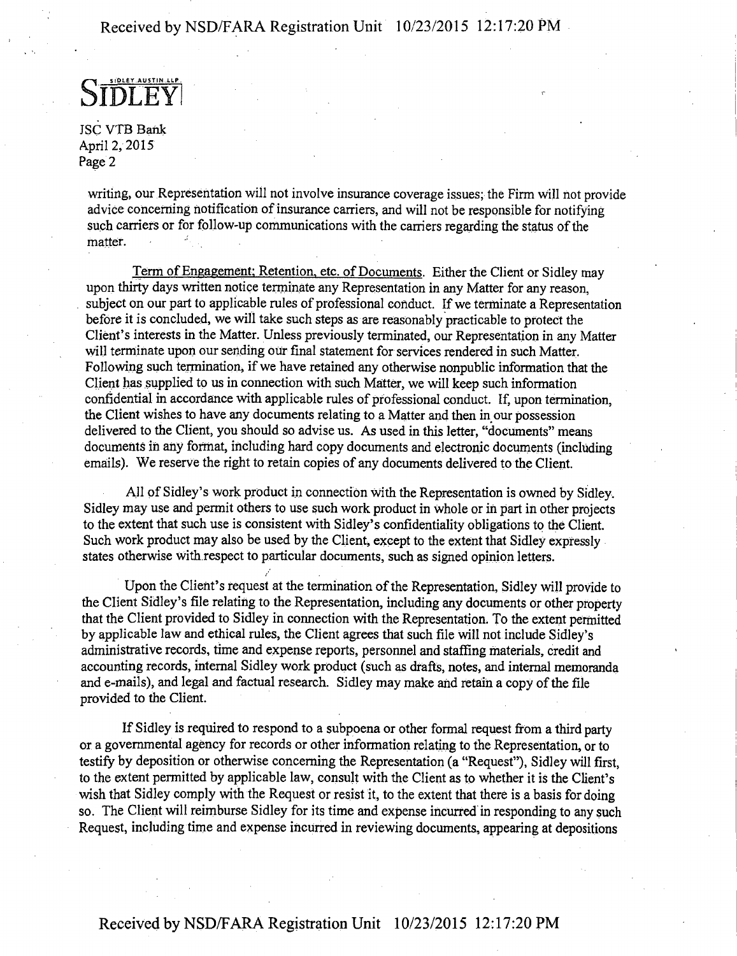## Received by NSD/FARA Registration Unit 10/23/2015 12:17:20 PM

STDLEY

JSC VTB Bank April 2,2015 Page 2

writing, our Representation will not involve insurance coverage issues; the Firm Will not provide advice concerning notification of insurance carriers, and will not be responsible for notifying such carriers or for follow-up communications with the carriers regarding the status of the matter.

Term of Engagement; Retention, etc. of Documents. Either the Client or Sidley may upon thirty days written notice terminate any Representation in any Matter for any reason, subject on our part to applicable rules of professional conduct. If we terminate a Representation before it is concluded, we will take such steps as are reasonably practicable to protect the Client's interests in the Matter. Unless previously terminated, our Representation in any Matter will terminate upon our sending our final statement for services rendered in such Matter. Following such termination, if we have retained any otherwise nonpublic information that the Client has supplied to us in connection with such Matter, we will keep such information confidential in accordance with applicable rules of professional conduct. If, upon termination, the Client wishes to have any documents relating to a Matter and then in our possession delivered to the Client, you should so advise us. As used in this letter, "documents" means documents in any format, including hard copy documents and electronic documents (including emails). We reserve the right to retain copies of any documents delivered to the Client.

All of Sidley's work product in connection with the Representation is owned by Sidley, Sidley may use and permit others to use such work product in whole or in part in other projects to the extent that such use is consistent with Sidley's confidentiality obligations to the Client. Such work product may also be used by the Client, except to the extent that Sidley expressly states otherwise with.respect to particular documents, such as signed opinion letters.

Upon the Client's request at the termination of the Representation, Sidley will provide to the Client Sidley's file relating to the Representation, including any documents or other property that the Client provided to Sidley in connection with the Representation. To the extent permitted by applicable law and ethical rules, the Client agrees that such file will not include Sidley's administrative records, time and expense reports, personnel and staffing materials, credit and accounting records, internal Sidley work product (such as drafts, notes, and internal memoranda and e-mails), and legal and factual research. Sidley may make and retain a copy of the file provided to the Client.

If Sidley is required to respond to a subpoena or other formal request from a third party or a governmental agency for records or other information relating to the Representation, or to testify by deposition or otherwise concerning the Representation (a "Request"), Sidley will first, to the extent permitted by applicable law, consult with the Client as to whether it is the Client's wish that Sidley comply with the Request or resist it, to the extent that there is a basis for doing so. The Client will reimburse Sidley for its time and expense incurred in responding to any such Request, including time and expense incurred in reviewing documents, appearing at depositions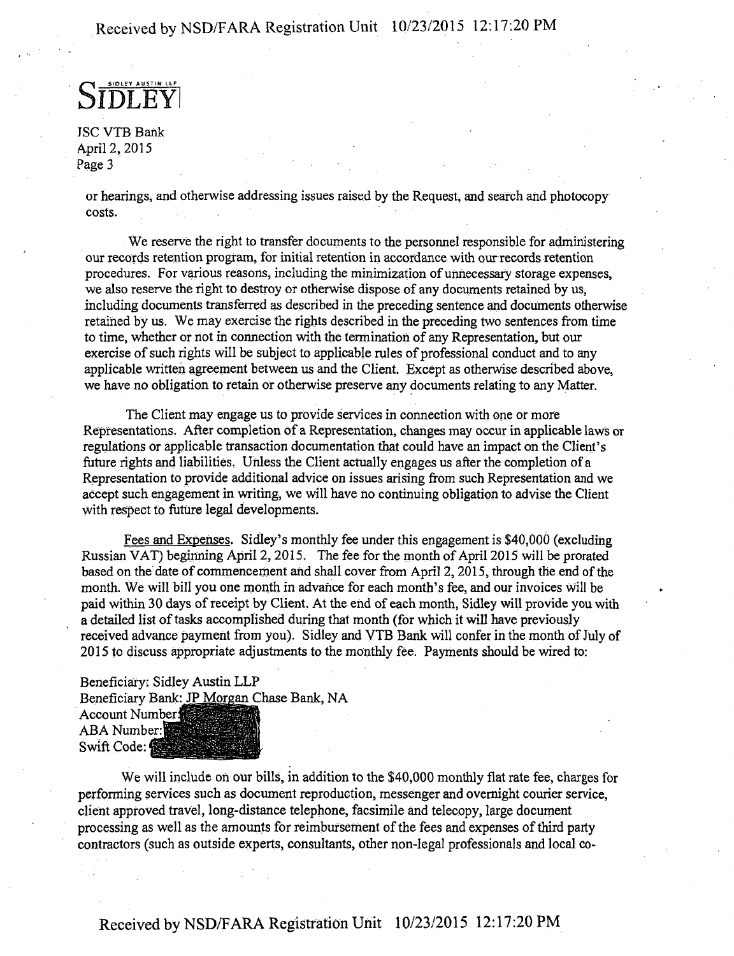**S SIDLEY AUSTIN LLP**   $\mathbf{F}\mathbf{Y}$ 

JSC VTB Bank April 2, 2015 Page 3

or hearings, and otherwise addressing issues raised by the Request, and search and photocopy costs.

We reserve the right to transfer documents to the personnel responsible for administering our records retention program, for initial retention in accordance with our records retention procedures. For various reasons, including the minimization of unnecessary storage expenses, we also reserve the right to destroy or otherwise dispose of any documents retained by us, including documents transferred as described in the preceding sentence and documents otherwise retained by us. We may exercise the rights described in the preceding two sentences from time to time, whether or not in connection with the termination of any Representation, but our exercise of such rights will be subject to applicable rules of professional conduct and to any applicable written agreement between us and the Client. Except as otherwise described above, we have no obligation to retain or otherwise preserve any documents relating to any Matter.

The Client may engage us to provide services in connection with one or more Representations. After completion of a Representation, changes may occur in applicable laws or regulations or applicable transaction documentation that could have an impact on the Client's future rights and liabilities. Unless the Client actually engages us after the completion of a Representation to provide additional advice on issues arising from such Representation and we accept such engagement in writing, we will have no continuing obligation to advise the Client with respect to future legal developments.

Fees and Expenses. Sidley's monthly fee under this engagement is \$40,000 (excluding Russian VAT) beginning April 2,2015. The fee for the month of April 2015 will be prorated based on the date of commencement and shall cover from April 2,2015, through the end of the month. We will bill you one month in advance for each month's fee, and our invoices will be paid within 30 days of receipt by Client. At the end of each month, Sidley will provide you with a detailed list of tasks accomplished during that month (for which it will have previously received advance payment from you). Sidley and VTB Bank will confer in the month of July of 2015 to discuss appropriate adjustments to the monthly fee. Payments should be wired to:

# Beneficiary: Sidley Austin LLP Beneficiary Bank: JP Morgan Chase Bank, NA<br>Account Number

ABA Number: Swift Code: 優

We will include on our bills, in addition to the \$40,000 monthly flat rate fee, charges for performing services such as document reproduction, messenger and overnight courier service, client approved travel, long-distance telephone, facsimile and telecopy, large document processing as well as the amounts for reimbursement of the fees and expenses of third party contractors (such as outside experts, consultants, other non-legal professionals and local co-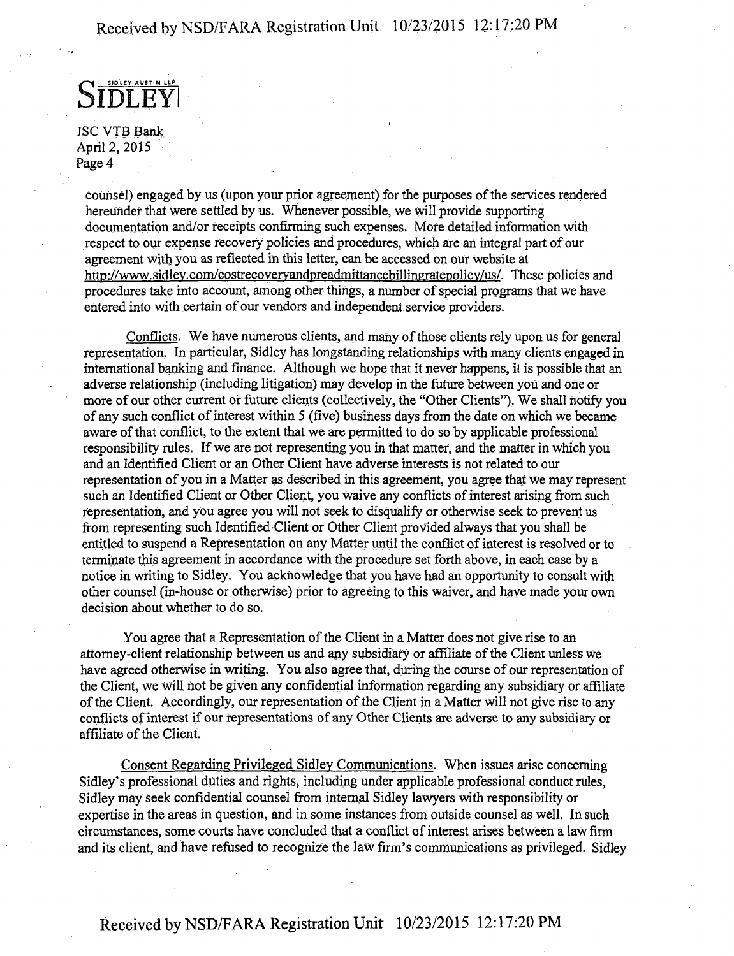S **SIDLEY AUSTIN LLP**   $E$ **Y** 

JSC VTB Bank April 2, 2015 Page 4

counsel) engaged by us (upon your prior agreement) for the purposes of the services rendered hereunder that were settled by us. Whenever possible, we will provide supporting documentation and/or receipts confirming such expenses. More detailed information with respect to our expense recovery policies and procedures, which are an integral part of our agreement with you as reflected in this letter, can be accessed on our Website at http://www.sidley.com/costrecoveryandpreadmittancebillingratepolicy/us/. These policies and procedures take into account, among other things, a number of special programs that we have entered into with certain of our vendors and independent service providers.

Conflicts. We have numerous clients, and many of those clients rely upon us for general representation.. In particular, Sidley has longstanding relationships with many clients engaged in international banking and finance. Although we hope that it never happens, it is possible that an adverse relationship (including litigation) may develop in the future between you and one or more of our other current or future clients (collectively, the "Other Clients"). We shall notify you of any such conflict of interest within 5 (five) business days from the date on which we became aware of that conflict, to the extent that we are permitted to do so by applicable professional responsibility rules. If we are not representing you in that matter, and the matter in which you and an Identified Client or an Other Client have adverse interests is not related to our representation of you in a Matter as described in this agreement, you agree that we may represent such an Identified Client or Other Client, you waive any conflicts of interest arising from such representation, and you agree you will not seek to disqualify or otherwise seek to prevent us from representing such Identified Client or Other Client provided always that you shall be entitled to suspend a Representation on any Matter until the conflict of interest is resolved or to terminate this agreement in accordance with the procedure set forth above, in each case by a notice in writing to Sidley. You acknowledge that you have had an opportunity to consult with other counsel (in-house or otherwise) prior to agreeing to this waiver, and have made your own decision about whether to do so.

You agree that a Representation of the Client in a Matter does not give rise to an attorney-client relationship between us and any subsidiary or affiliate of the Client unless we have agreed otherwise in writing. You also agree that, during the course of our representation of the Client, we will hot be given any confidential information regarding any subsidiary or affiliate of the Client. Accordingly, our representation of the Client in a Matter will not give rise to any conflicts of interest if our representations of any Other Clients are adverse to any subsidiary or affiliate of the Client.

Consent Regarding Privileged Sidley Communications. When issues arise concerning Sidley's professional duties and rights, including under applicable professional conduct rules, Sidley may seek confidential counsel from internal Sidley lawyers with responsibility or expertise in the areas in question, and in some instances from outside counsel as well. In such circumstances, some courts have concluded that a conflict of interest arises between a law firm and its client, and have refused to recognize the law firm's communications as privileged. Sidley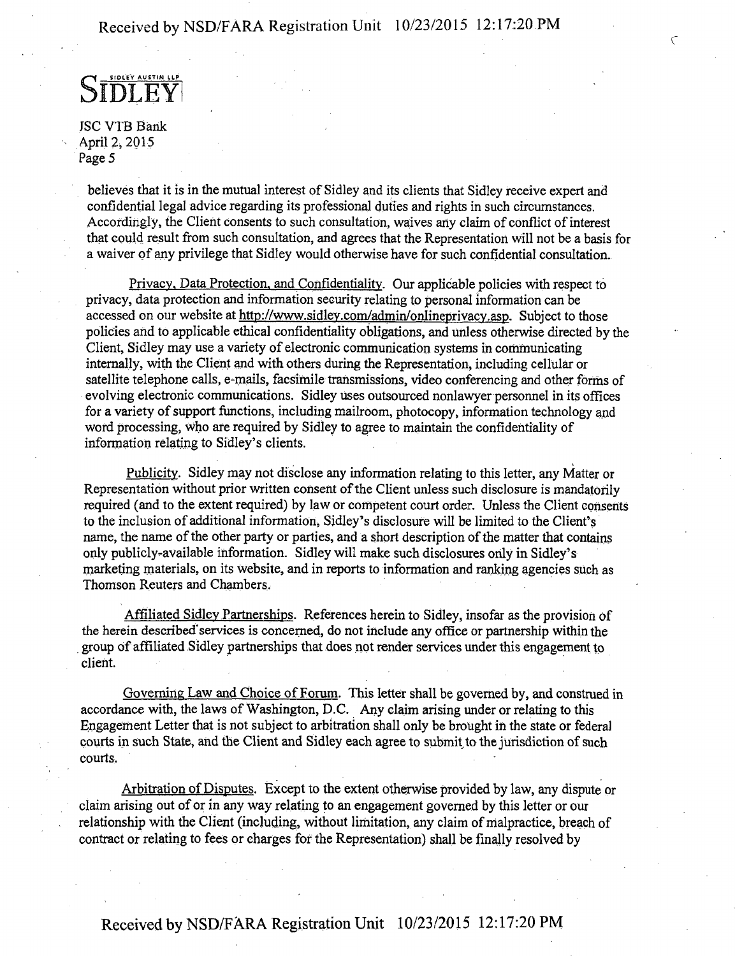**c** 

**S IDLEYI 5IDLEY AUSTIN LLP** 

JSC VTB Bank April 2, 2015 Page 5

believes that it is in the mutual interest of Sidley and its clients that Sidley receive expert and confidential legal advice regarding its professional duties and rights in such circumstances. Accordingly, the Client consents to such consultation, waives any claim of conflict of interest that could result from such consultation, and agrees that the Representation will not be a basis for a waiver of any privilege that Sidley would otherwise have for such confidential consultation.

Privacy. Data Protection, and Confidentiality. Our applicable policies with respect to privacy, data protection and information security relating to personal information can be accessed on our website at http://www.sidley.com/admin/onlineprivacy.asp. Subject to those policies and to applicable ethical confidentiality obligations, and unless otherwise directed by the Client, Sidley may use a variety of electronic communication systems in communicating internally, with the Client and with others during the Representation, including cellular or satellite telephone calls, e-mails, facsimile transmissions, video conferencing and other forms of evolving electronic communications. Sidley uses outsourced nonlawyer personnel in its offices for a variety of support functions, including mailroom, photocopy, information technology and word processing, who are required by Sidley to agree to maintain the confidentiality of information relating to Sidley's clients.

Publicity. Sidley may not disclose any information relating to this letter, any Matter or Representation without prior written consent of the Client unless such disclosure is mandatorily required (and to the extent required) by law or competent court order. Unless the Client consents to the inclusion of additional information, Sidley's disclosure will be limited to the Client's name, the name of the other party or parties, and a short description of the matter that contains only publicly-available information. Sidley will make such disclosures only in Sidley's marketing materials, on its website, and in reports to information and ranking agencies such as Thomson Reuters and Chambers.

Affiliated Sidley Partnerships. References herein to Sidley, insofar as the provision of the herein described'services is concerned, do not include any office or partnership within the . group of affiliated Sidley partnerships that does not render services under this engagement to client.

Governing Law and Choice of Forum. This letter shall be governed by, and construed in accordance with, the laws of Washington, D.C. Any claim arising under or relating to this Engagement Letter that is not subject to arbitration shall only be brought in the state or federal courts in such State, and the Client and Sidley each agree to submit to the jurisdiction of such courts.

Arbitration of Disputes. Except to the extent otherwise provided by law, any dispute or claim arising out of or in any way relating to an engagement governed by this letter or our relationship with the Client (including, without limitation, any claim of malpractice, breach of contract or relating to fees or charges for the Representation) shall be finally resolved by

Received by NSD/FARA Registration Unit 10/23/2015 12:17:20 PM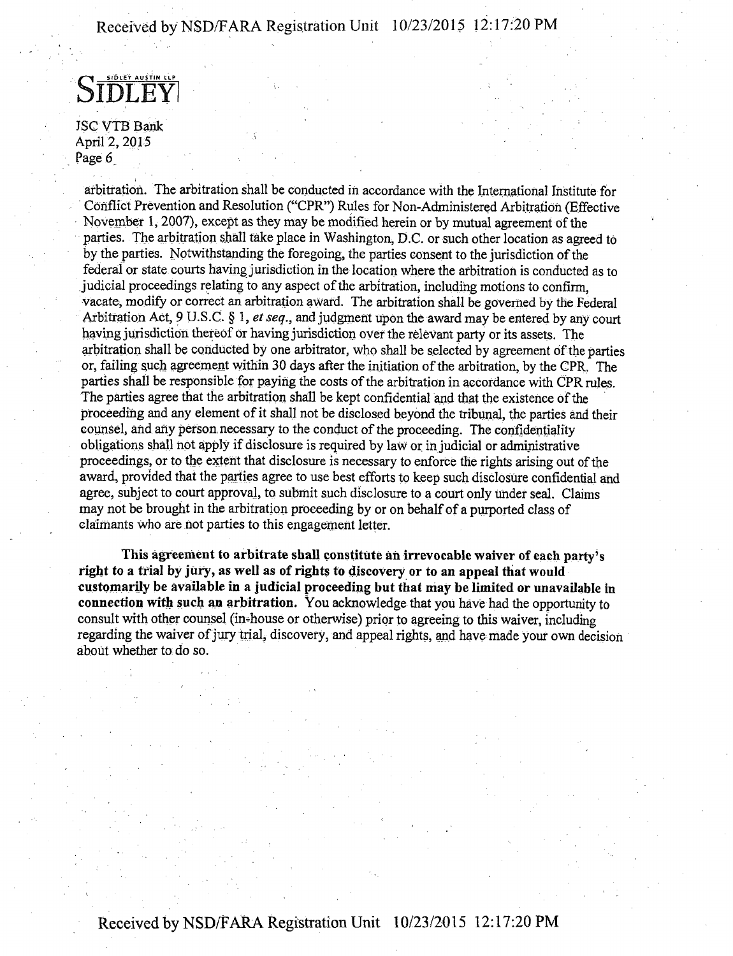STDLEY **SIDLEY AUSTIN LLP** 

JSC VTB Bank April 2, 2015 Page 6

arbitration. The arbitration shall be conducted in accordance with the International Institute for Conflict Prevention and Resolution ("CPR") Rules for Non-Administered Arbitration (Effective November 1, 2007), except as they may be modified herein or by mutual agreement of the parties. The arbitration shall take place in Washington, D.C. or such other location as agreed to by the parties. Notwithstanding the foregoing, the parties consent to the jurisdiction of the federal or state courts having jurisdiction in the location where the arbitration is conducted as to judicial proceedings relating to any aspect of the arbitration, including motions to confirm, vacate, modify or correct an arbitration award. The arbitration shall be governed by the Federal Arbitration Act, 9 U.S.C.  $\S$  1, et seq., and judgment upon the award may be entered by any court having jurisdiction thereof or having jurisdiction over the relevant party or its assets. The arbitration shall be conducted by one arbitrator, who shall be selected by agreement of the parties or, failing such agreement within 30 days after the initiation of the arbitration, by the CPR. The parties shall be responsible for paying the costs of the arbitration in accordance with CPR rules. The parties agree that the arbitration shall be kept confidential and that the existence of the proceeding and any element of it shall not be disclosed beyond the tribunal, the parties and their counsel, and any person, necessary to the conduct of the proceeding. The confidentiality obligations shall not apply if disclosure is required by law or in judicial or administrative proceedings, or to the extent that disclosure is necessary to enforce the rights arising out of the award, provided that the parties agree to use best efforts to keep such disclosure confidential and agree, subject to court approval, to submit such disclosure to a court only under seal. Claims may not be brought in the arbitration proceeding by or on behalf of a purported class of claimants who are not parties to this engagement letter.

This agreement to arbitrate shall constitute an irrevocable waiver of each party's right to a trial by jury, as well as of rights to discovery or to an appeal that would customarily be available in a judicial proceeding but that may be limited or unavailable in connection with such an arbitration. You acknowledge that you have had the opportunity to consult with other counsel (in-house or otherwise) prior to agreeing to this waiver, including regarding the waiver of jury trial, discovery, and appeal rights, and have made your own decision about whether to do so.